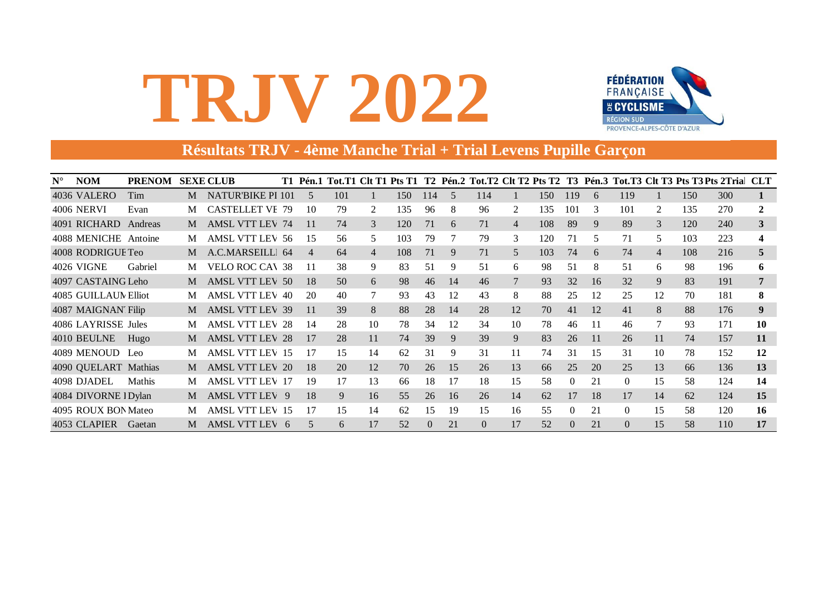

### **Résultats TRJV - 4ème Manche Trial + Trial Levens Pupille Garçon**

| $N^{\circ}$ | <b>NOM</b>           | <b>PRENOM</b> |   | <b>SEXE CLUB</b>       |                |     |                |     |          |                |          |                |     |          |    |          |    |     | T1 Pén.1 Tot.T1 Clt T1 Pts T1 T2 Pén.2 Tot.T2 Clt T2 Pts T2 T3 Pén.3 Tot.T3 Clt T3 Pts T3 Pts 2Tria CLT |              |
|-------------|----------------------|---------------|---|------------------------|----------------|-----|----------------|-----|----------|----------------|----------|----------------|-----|----------|----|----------|----|-----|---------------------------------------------------------------------------------------------------------|--------------|
|             | 4036 VALERO          | Tim           | M | NATUR'BIKE PI 101      | $\sim$         | 101 |                | 150 | 114      | $\overline{5}$ | 114      |                | 150 | 119      | 6  | 119      |    | 150 | 300                                                                                                     |              |
|             | <b>4006 NERVI</b>    | Evan          |   | <b>CASTELLET VE 79</b> | 10             | 79  | 2              | 135 | 96       | 8              | 96       | 2              | 135 | 101      | 3  | 101      | 2  | 135 | 270                                                                                                     |              |
|             | 4091 RICHARD         | Andreas       | M | <b>AMSL VTT LEV 74</b> | 11             | 74  | 3              | 120 | 71       | 6              | 71       | $\overline{4}$ | 108 | 89       | 9  | 89       | 3  | 120 | 240                                                                                                     | 3            |
|             | 4088 MENICHE Antoine |               | M | <b>AMSL VTT LEV 56</b> | 15             | 56  | 5              | 103 | 79       |                | 79       | 3              | 120 | 71       | 5  | 71       | 5  | 103 | 223                                                                                                     |              |
|             | 4008 RODRIGUE Teo    |               | M | A.C.MARSEILLI 64       | $\overline{4}$ | 64  | $\overline{4}$ | 108 | 71       | 9              | 71       | $\mathfrak{H}$ | 103 | 74       | 6  | 74       | 4  | 108 | 216                                                                                                     | $\mathbf{A}$ |
|             | 4026 VIGNE           | Gabriel       | М | <b>VELO ROC CAV 38</b> | 11             | 38  | 9              | 83  | 51       | 9              | 51       | 6              | 98  | 51       | 8  | 51       | 6  | 98  | 196                                                                                                     | 6            |
|             | 4097 CASTAING Leho   |               | M | <b>AMSL VTT LEV 50</b> | 18             | 50  | 6              | 98  | 46       | 14             | 46       |                | 93  | 32       | 16 | 32       | 9  | 83  | 191                                                                                                     | 7            |
|             | 4085 GUILLAUN Elliot |               | M | <b>AMSL VTT LEV 40</b> | 20             | 40  |                | 93  | 43       | 12             | 43       | 8              | 88  | 25       | 12 | 25       | 12 | 70  | 181                                                                                                     | 8            |
|             | 4087 MAIGNAN Filip   |               | M | <b>AMSL VTT LEV 39</b> | 11             | 39  | 8              | 88  | 28       | 14             | 28       | 12             | 70  | 41       | 12 | 41       | 8  | 88  | 176                                                                                                     | 9            |
|             | 4086 LAYRISSE Jules  |               | М | <b>AMSL VTT LEV 28</b> | 14             | 28  | 10             | 78  | 34       | 12             | 34       | 10             | 78  | 46       | 11 | 46       |    | 93  | 171                                                                                                     | 10           |
|             | 4010 BEULNE          | Hugo          | M | <b>AMSL VTT LEV 28</b> | 17             | 28  | 11             | 74  | 39       | 9              | 39       | 9              | 83  | 26       | 11 | 26       | 11 | 74  | 157                                                                                                     | 11           |
|             | 4089 MENOUD Leo      |               | M | <b>AMSL VTT LEV 15</b> | 17             | 15  | 14             | 62  | 31       | 9              | 31       | 11             | 74  | 31       | 15 | 31       | 10 | 78  | 152                                                                                                     | 12           |
|             | 4090 QUELART Mathias |               | M | <b>AMSL VTT LEV 20</b> | 18             | 20  | 12             | 70  | 26       | 15             | 26       | 13             | 66  | 25       | 20 | 25       | 13 | 66  | 136                                                                                                     | 13           |
|             | 4098 DJADEL          | Mathis        | М | <b>AMSL VTT LEV 17</b> | 19             | 17  | 13             | 66  | 18       | 17             | 18       | 15             | 58  | $\Omega$ | 21 | $\Omega$ | 15 | 58  | 124                                                                                                     | 14           |
|             | 4084 DIVORNE I Dylan |               | M | AMSL VTT LEV 9         | 18             | 9   | 16             | 55  | 26       | 16             | 26       | 14             | 62  | 17       | 18 | 17       | 14 | 62  | 124                                                                                                     | 15           |
|             | 4095 ROUX BON Mateo  |               | М | <b>AMSL VTT LEV 15</b> | 17             | 15  | 14             | 62  | 15       | 19             | 15       | 16             | 55  | $\Omega$ | 21 | $\Omega$ | 15 | 58  | 120                                                                                                     | 16           |
|             | 4053 CLAPIER         | Gaetan        | M | AMSL VTT LEV 6         | 5              | 6   | 17             | 52  | $\Omega$ | 21             | $\Omega$ | 17             | 52  | $\Omega$ | 21 | $\Omega$ | 15 | 58  | 110                                                                                                     | 17           |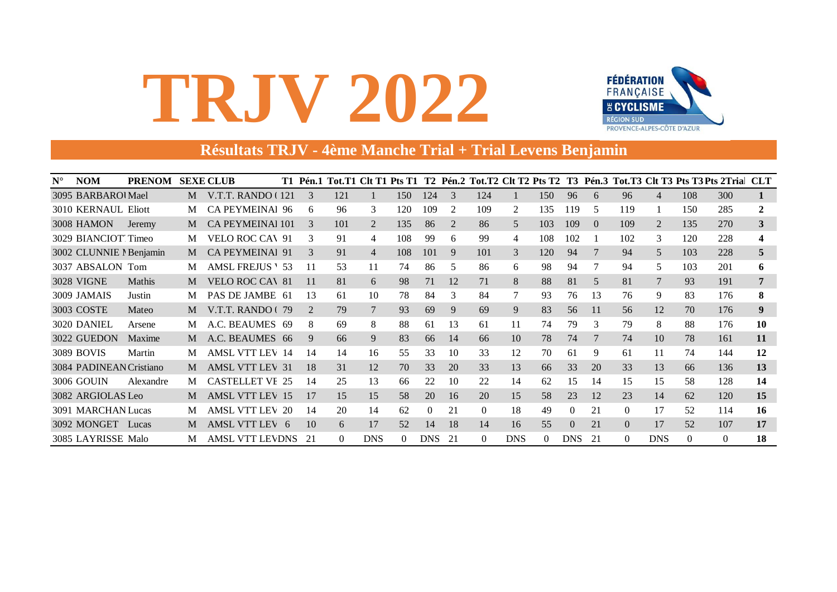

### Résultats TRJV - 4ème Manche Trial + Trial Levens Benjamin

| $N^{\circ}$ | <b>NOM</b>              | PRENOM SEXE CLUB |   |                         |                       |          |                |          |            |    |          |            |     |                  |                |          |                |          | T1 Pén.1 Tot.T1 Clt T1 Pts T1 T2 Pén.2 Tot.T2 Clt T2 Pts T2 T3 Pén.3 Tot.T3 Clt T3 Pts T3 Pts 2Tria CLT |    |
|-------------|-------------------------|------------------|---|-------------------------|-----------------------|----------|----------------|----------|------------|----|----------|------------|-----|------------------|----------------|----------|----------------|----------|---------------------------------------------------------------------------------------------------------|----|
|             | 3095 BARBAROUMael       |                  | M | V.T.T. RANDO (121)      |                       | 121      |                | 150      | 124        | 3  | 124      |            | 150 | 96               | 6              | 96       | $\overline{4}$ | 108      | 300                                                                                                     |    |
|             | 3010 KERNAUL Eliott     |                  | M | <b>CA PEYMEINAI 96</b>  | 6                     | 96       | 3              | 120      | 109        | 2  | 109      | 2          | 135 | 119              | 5              | 119      |                | 150      | 285                                                                                                     |    |
|             | 3008 HAMON              | Jeremy           | M | <b>CA PEYMEINAI 101</b> | $\mathcal{E}$         | 101      | 2              | 135      | 86         | 2  | 86       | 5          | 103 | 109              | $\overline{0}$ | 109      | 2              | 135      | 270                                                                                                     | 3  |
|             | 3029 BIANCIOT Timeo     |                  | M | <b>VELO ROC CAV 91</b>  | 3                     | 91       | 4              | 108      | 99         | 6  | 99       | 4          | 108 | 102              |                | 102      | 3              | 120      | 228                                                                                                     |    |
|             | 3002 CLUNNIE I Benjamin |                  | M | <b>CA PEYMEINAl 91</b>  | 3                     | 91       | $\overline{4}$ | 108      | 101        | 9  | 101      | 3          | 120 | 94               | 7              | 94       | 5              | 103      | 228                                                                                                     | 5  |
|             | 3037 ABSALON Tom        |                  | M | <b>AMSL FREJUS \ 53</b> | -11                   | 53       | 11             | 74       | 86         | 5  | 86       | 6          | 98  | 94               |                | 94       | 5              | 103      | 201                                                                                                     | 6  |
|             | <b>3028 VIGNE</b>       | <b>Mathis</b>    | M | <b>VELO ROC CAV 81</b>  | 11                    | 81       | 6              | 98       | 71         | 12 | 71       | 8          | 88  | 81               | 5              | 81       | 7              | 93       | 191                                                                                                     | 7  |
|             | 3009 JAMAIS             | Justin           | M | PAS DE JAMBE 61         | 13                    | 61       | 10             | 78       | 84         | 3  | 84       |            | 93  | 76               | 13             | 76       | 9              | 83       | 176                                                                                                     | 8  |
|             | 3003 COSTE              | Mateo            | M | V.T.T. RANDO (79        | $\mathcal{D}_{\cdot}$ | 79       |                | 93       | 69         | 9  | 69       | 9          | 83  | 56               | 11             | 56       | 12             | 70       | 176                                                                                                     | 9  |
|             | 3020 DANIEL             | Arsene           | M | A.C. BEAUMES 69         | 8                     | 69       | 8              | 88       | 61         | 13 | 61       | 11         | 74  | 79               | 3              | 79       | 8              | 88       | 176                                                                                                     | 10 |
|             | 3022 GUEDON             | Maxime           | M | A.C. BEAUMES 66         | 9                     | 66       | 9              | 83       | 66         | 14 | 66       | 10         | 78  | 74               |                | 74       | 10             | 78       | 161                                                                                                     | 11 |
|             | 3089 BOVIS              | Martin           | M | <b>AMSL VTT LEV 14</b>  | 14                    | 14       | 16             | 55       | 33         | 10 | 33       | 12         | 70  | 61               | 9              | 61       | 11             | 74       | 144                                                                                                     | 12 |
|             | 3084 PADINEAN Cristiano |                  | M | <b>AMSL VTT LEV 31</b>  | 18                    | 31       | 12             | 70       | 33         | 20 | 33       | 13         | 66  | 33               | 20             | 33       | 13             | 66       | 136                                                                                                     | 13 |
|             | 3006 GOUIN              | Alexandre        | M | <b>CASTELLET VE 25</b>  | 14                    | 25       | 13             | 66       | 22         | 10 | 22       | 14         | 62  | 15               | 14             | 15       | 15             | 58       | 128                                                                                                     | 14 |
|             | 3082 ARGIOLAS Leo       |                  | M | <b>AMSL VTT LEV 15</b>  | 17                    | 15       | 15             | .58      | 20         | 16 | 20       | 15         | 58  | 23               | 12             | 23       | 14             | 62       | 120                                                                                                     | 15 |
|             | 3091 MARCHAN Lucas      |                  | M | <b>AMSL VTT LEV 20</b>  | 14                    | 20       | 14             | 62       | 0          | 21 | $\Omega$ | 18         | 49  | $\Omega$         | 21             | 0        | 17             | 52       | 114                                                                                                     | 16 |
|             | 3092 MONGET             | Lucas            | M | AMSL VTT LEV 6          | 10                    | 6        | 17             | 52       | 14         | 18 | 14       | 16         | 55  | $\left( \right)$ | 21             | $\Omega$ | 17             | 52       | 107                                                                                                     | 17 |
|             | 3085 LAYRISSE Malo      |                  | M | <b>AMSL VTT LEVDNS</b>  | -21                   | $\Omega$ | <b>DNS</b>     | $\Omega$ | <b>DNS</b> | 21 | $\Omega$ | <b>DNS</b> | 0.  | <b>DNS</b>       | 21             | 0        | <b>DNS</b>     | $\Omega$ | $\theta$                                                                                                | 18 |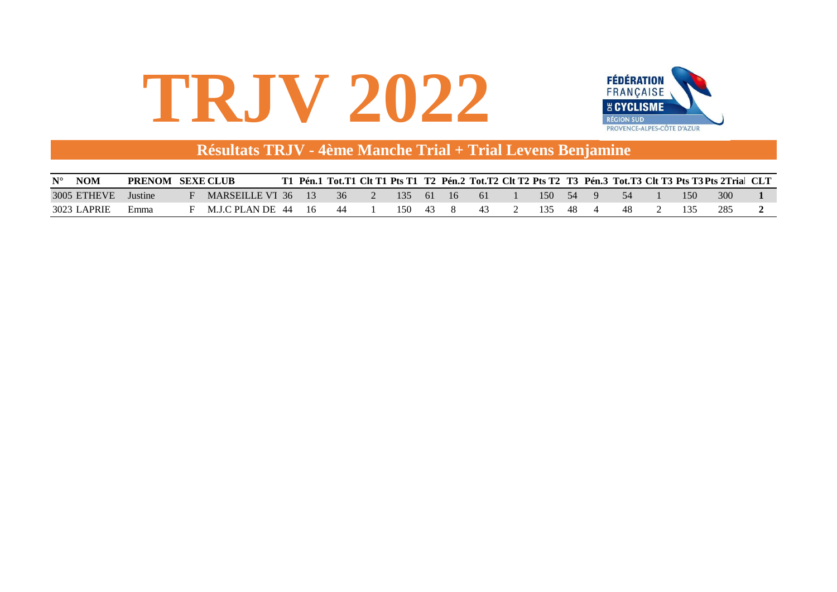

#### **Résultats TRJV - 4ème Manche Trial + Trial Levens Benjamine**

| <b>NOM</b><br>$N^{\circ}$ | <b>PRENOM SEXE CLUB</b> |                       |     |     |     |      |             |     |        |     |  |  | .   Pén.1  Tot.T1  Clt T1  Pts T1   T2   Pén.2  Tot.T2  Clt T2  Pts T2   T3   Pén.3  Tot.T3  Clt T3  Pts T3 Pts 2Trial   CLT |  |
|---------------------------|-------------------------|-----------------------|-----|-----|-----|------|-------------|-----|--------|-----|--|--|------------------------------------------------------------------------------------------------------------------------------|--|
| 3005 ETHEVE               | Justine                 | MARSEILLE VT 36 13 36 |     |     | 135 | - 61 | $\sqrt{16}$ | -61 | 150 54 |     |  |  | 300                                                                                                                          |  |
| 3023 I<br>LAPRIF          | Emma                    | M.LC PLAN DE 44       | -16 | -44 | 150 | 43   |             |     | 135    | -48 |  |  | 285                                                                                                                          |  |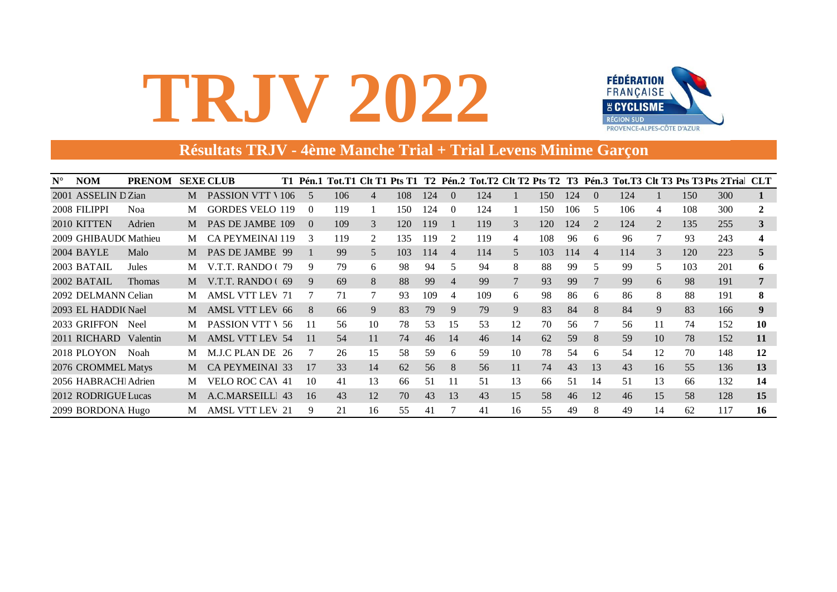

### **Résultats TRJV - 4ème Manche Trial + Trial Levens Minime Garçon**

| $N^{\circ}$ | <b>NOM</b>            | <b>PRENOM</b> |   | <b>SEXE CLUB</b>        |               |     |                |     |     |                |     |        |     |     |                |     |                 |     | T1 Pén.1 Tot.T1 Clt T1 Pts T1 T2 Pén.2 Tot.T2 Clt T2 Pts T2 T3 Pén.3 Tot.T3 Clt T3 Pts T3 Pts 2Tria CLT |    |
|-------------|-----------------------|---------------|---|-------------------------|---------------|-----|----------------|-----|-----|----------------|-----|--------|-----|-----|----------------|-----|-----------------|-----|---------------------------------------------------------------------------------------------------------|----|
|             | 2001 ASSELIN D Zian   |               | M | <b>PASSION VTT \106</b> | -5            | 106 | $\overline{4}$ | 108 | 124 | $\Omega$       | 124 |        | 150 | 124 | $\Omega$       | 124 |                 | 150 | 300                                                                                                     |    |
|             | 2008 FILIPPI          | <b>Noa</b>    | M | <b>GORDES VELO 119</b>  | $\theta$      | 119 |                | 150 | 124 | $\Omega$       | 124 |        | 150 | 106 | 5              | 106 | 4               | 108 | 300                                                                                                     |    |
|             | 2010 KITTEN           | Adrien        | M | PAS DE JAMBE 109        | $\Omega$      | 109 | 3              | 120 | 119 |                | 119 | 3      | 120 | 124 | 2              | 124 | $\overline{2}$  | 135 | 255                                                                                                     | 3  |
|             | 2009 GHIBAUD CMathieu |               | M | CA PEYMEINAI 119        | $\mathcal{R}$ | 119 | 2              | 135 | 119 | 2              | 119 | 4      | 108 | 96  | 6              | 96  | 7               | 93  | 243                                                                                                     |    |
|             | 2004 BAYLE            | Malo          | M | PAS DE JAMBE 99         |               | 99  | 5              | 103 | 114 | $\overline{4}$ | 114 | 5      | 103 | 114 | $\overline{4}$ | 114 | 3               | 120 | 223                                                                                                     | C. |
|             | 2003 BATAIL           | Jules         | M | V.T.T. RANDO (79        | 9             | 79  | 6              | 98  | 94  | 5.             | 94  | 8      | 88  | 99  | 5              | 99  | 5               | 103 | 201                                                                                                     | 6  |
|             | 2002 BATAIL           | <b>Thomas</b> | M | V.T.T. RANDO $(69$      | 9             | 69  | 8              | 88  | 99  | $\overline{4}$ | 99  | $\tau$ | 93  | 99  |                | 99  | 6               | 98  | 191                                                                                                     |    |
|             | 2092 DELMANN Celian   |               | M | <b>AMSL VTT LEV 71</b>  |               | 71  |                | 93  | 109 | 4              | 109 | 6      | 98  | 86  | 6              | 86  | 8               | 88  | 191                                                                                                     | 8  |
|             | 2093 EL HADDI (Nael   |               | M | <b>AMSL VTT LEV 66</b>  | 8             | 66  | 9              | 83  | 79  | 9              | 79  | 9      | 83  | 84  | 8              | 84  | 9               | 83  | 166                                                                                                     | 9  |
|             | 2033 GRIFFON          | Neel          | M | <b>PASSION VTT \ 56</b> | 11            | 56  | 10             | 78  | 53  | 15             | 53  | 12     | 70  | 56  |                | 56  | 11              | 74  | 152                                                                                                     | 10 |
|             | 2011 RICHARD Valentin |               | M | <b>AMSL VTT LEV 54</b>  | 11            | 54  | 11             | 74  | 46  | 14             | 46  | 14     | 62  | 59  | 8              | 59  | 10 <sup>1</sup> | 78  | 152                                                                                                     | 11 |
|             | 2018 PLOYON           | Noah          | M | M.J.C PLAN DE 26        |               | 26  | 15             | 58  | 59  | 6              | 59  | 10     | 78  | 54  | 6              | 54  | 12              | 70  | 148                                                                                                     | 12 |
|             | 2076 CROMMEL Matys    |               | M | <b>CA PEYMEINAL 33</b>  | 17            | 33  | 14             | 62  | 56  | 8              | 56  | 11     | 74  | 43  | 13             | 43  | 16              | 55  | 136                                                                                                     | 13 |
|             | 2056 HABRACHI Adrien  |               | M | <b>VELO ROC CAV 41</b>  | 10            | 41  | 13             | 66  | 51  | 11             | 51  | 13     | 66  | 51  | 14             | 51  | 13              | 66  | 132                                                                                                     | 14 |
|             | 2012 RODRIGUE Lucas   |               | M | A.C.MARSEILLI 43        | 16            | 43  | 12             | 70  | 43  | 13             | 43  | 15     | 58  | 46  | 12             | 46  | 15              | 58  | 128                                                                                                     | 15 |
|             | 2099 BORDONA Hugo     |               | M | AMSL VTT LEV 21         | 9             | 21  | 16             | 55  | 41  |                | 41  | 16     | 55  | 49  | 8              | 49  | 14              | 62  | 117                                                                                                     | 16 |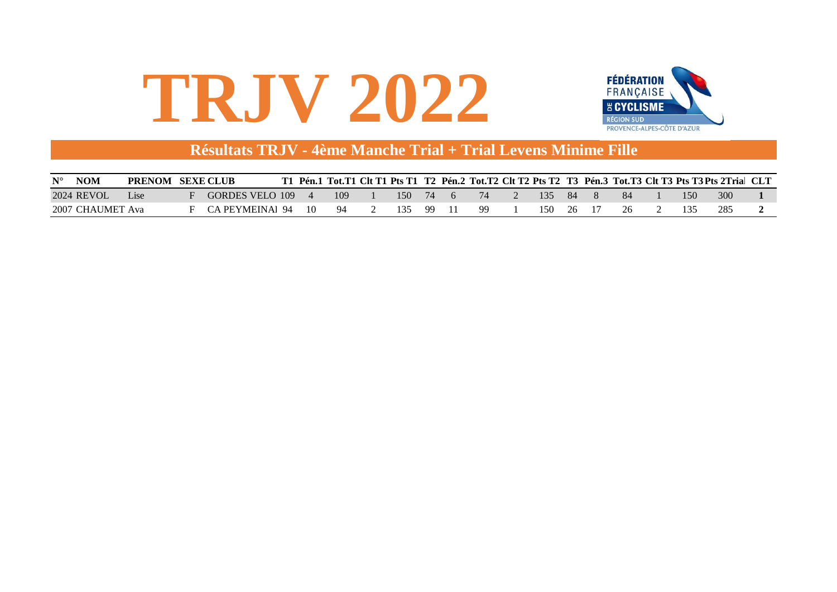

#### **Résultats TRJV - 4ème Manche Trial + Trial Levens Minime Fille**

| <b>NOM</b><br>$N^{\circ}$ | <b>PRENOM SEXE CLUB</b> |                 |    |     |     |      |    |     |     |     |  | Pén.1 Tot.T1 Clt T1 Pts T1 T2 Pén.2 Tot.T2 Clt T2 Pts T2 T3 Pén.3 Tot.T3 Clt T3 Pts T3 Pts 2Trial CLT |  |
|---------------------------|-------------------------|-----------------|----|-----|-----|------|----|-----|-----|-----|--|-------------------------------------------------------------------------------------------------------|--|
| 2024 REVOL                | .ise                    | GORDES VELO 109 |    | 109 | 150 | - 74 | 74 | -35 | -84 | -84 |  | 300                                                                                                   |  |
| 2007 CHAUMET Ava          |                         | CA PEYMEINAI 94 | 10 | 94  |     | -99  |    | 15O | 26  | 26  |  | 285                                                                                                   |  |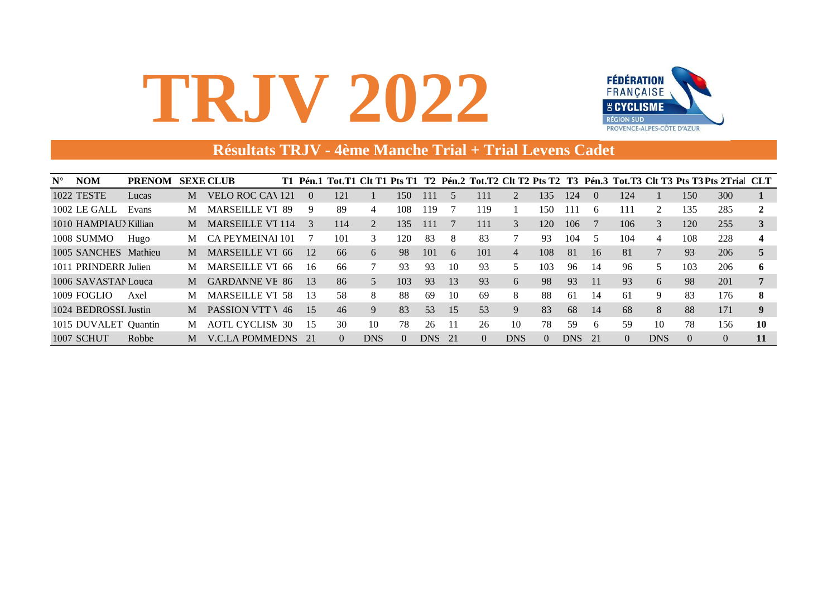

#### Résultats TRJV - 4ème Manche Trial + Trial Levens Cadet

| $N^{\circ}$ | <b>NOM</b>           | <b>PRENOM</b> |   | <b>SEXE CLUB</b>        |     |                  |          |            |     |     |    |          |                |          |       |          |          |            |                | T1 Pén.1 Tot.T1 Clt T1 Pts T1 T2 Pén.2 Tot.T2 Clt T2 Pts T2 T3 Pén.3 Tot.T3 Clt T3 Pts T3 Pts 2Tria CLT |    |
|-------------|----------------------|---------------|---|-------------------------|-----|------------------|----------|------------|-----|-----|----|----------|----------------|----------|-------|----------|----------|------------|----------------|---------------------------------------------------------------------------------------------------------|----|
|             | <b>1022 TESTE</b>    | Lucas         | M | VELO ROC CAN 121        |     | $\left( \right)$ | 121      |            | 150 | 111 | 5  | 111      | 2              | 135      | 124   | $\Omega$ | 124      |            | 150            | 300                                                                                                     |    |
|             | 1002 LE GALL         | Evans         | M | <b>MARSEILLE VT 89</b>  |     | 9                | 89       | 4          | 108 | 119 |    | 119      |                | 150      | 111   | 6        | 111      |            | 135            | 285                                                                                                     |    |
|             | 1010 HAMPIAU Xillian |               | M | <b>MARSEILLE VT 114</b> |     | $\mathcal{R}$    | 114      |            | 135 | 111 |    | 111      | 3              | 120      | 106   |          | 106      | 3          | 120            | 255                                                                                                     |    |
|             | 1008 SUMMO           | Hugo          | M | CA PEYMEINAI 101        |     |                  | 101      | 3          | 120 | 83  | 8  | 83       |                | 93       | 104   | 5        | 104      | 4          | 108            | 228                                                                                                     |    |
|             | 1005 SANCHES Mathieu |               | M | MARSEILLE VT 66         |     | 12               | 66       | 6          | 98  | 101 | 6  | 101      | $\overline{4}$ | 108      | 81    | 16       | 81       |            | 93             | 206                                                                                                     |    |
|             | 1011 PRINDERR Julien |               | M | MARSEILLE VT 66         |     | -16              | 66       |            | 93  | 93  | 10 | 93       | 5.             | 103      | 96    | 14       | 96       | 5          | 103            | 206                                                                                                     | 6  |
|             | 1006 SAVASTAN Louca  |               | M | <b>GARDANNE VE 86</b>   |     | 13               | 86       | 5          | 103 | 93  | 13 | 93       | 6              | 98       | 93    | 11       | 93       | 6          | 98             | 201                                                                                                     |    |
|             | 1009 FOGLIO          | Axel          | M | <b>MARSEILLE VT 58</b>  |     | -13              | 58       | 8          | 88  | 69  | 10 | -69      | 8              | 88       | 61    | 14       | 61       | 9          | 83             | 176                                                                                                     | 8  |
|             | 1024 BEDROSSL Justin |               | M | <b>PASSION VTT V</b>    | -46 | 15               | 46       | 9          | 83  | 53  | 15 | 53       | 9              | 83       | 68    | 14       | 68       | 8          | 88             | 171                                                                                                     | 9  |
|             | 1015 DUVALET Quantin |               | M | <b>AOTL CYCLISM</b>     | 30  | -15              | 30       | 10         | 78  | 26  |    | 26       | 10             | 78       | 59    | 6        | 59       | 10         | 78             | 156                                                                                                     | 10 |
|             | <b>1007 SCHUT</b>    | Robbe         | M | V.C.LA POMMEDNS 21      |     |                  | $\Omega$ | <b>DNS</b> |     | DNS | 21 | $\Omega$ | <b>DNS</b>     | $\Omega$ | DNS . | 21       | $\Omega$ | <b>DNS</b> | $\overline{0}$ | $\theta$                                                                                                | 11 |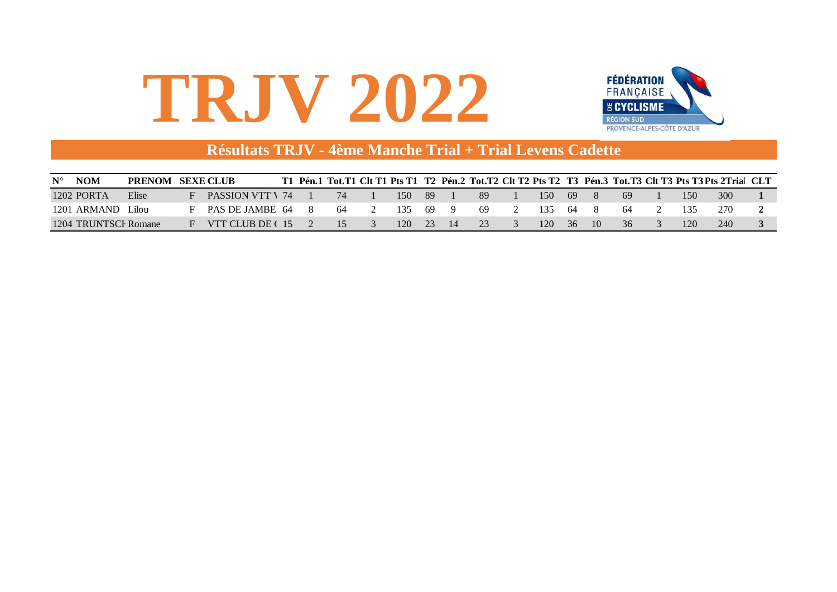

#### Résultats TRJV - 4ème Manche Trial + Trial Levens Cadette

| <b>NOM</b><br>$N^{\circ}$ | <b>PRENOM</b> | <b>SEXE CLUB</b>        |  |     |       |     |    |     |      |       |             |     |     | Pén.1 Tot.T1 Clt T1 Pts T1 T2 Pén.2 Tot.T2 Clt T2 Pts T2 T3 Pén.3 Tot.T3 Clt T3 Pts T3 Pts 2Tria CLT |  |
|---------------------------|---------------|-------------------------|--|-----|-------|-----|----|-----|------|-------|-------------|-----|-----|------------------------------------------------------------------------------------------------------|--|
| $1202$ PORTA              | Elise         | <b>PASSION VTT \ 74</b> |  |     | 150   | -89 |    | 89  | 15O  | -69   |             | -69 | 150 | 300                                                                                                  |  |
| 1201 ARMAND               | ` ilou-       | PAS DE JAMBE 64         |  | -64 | -135- | -69 | 9  | -69 | 135  | -64   | X.          | -64 |     | 270                                                                                                  |  |
| 1204 TRUNTSCF Romane      |               | VTT CLUB DE C 15        |  | 15  | 120   | 23  | 14 | 23  | 120- | $-36$ | $\sqrt{10}$ | 36  |     | 240                                                                                                  |  |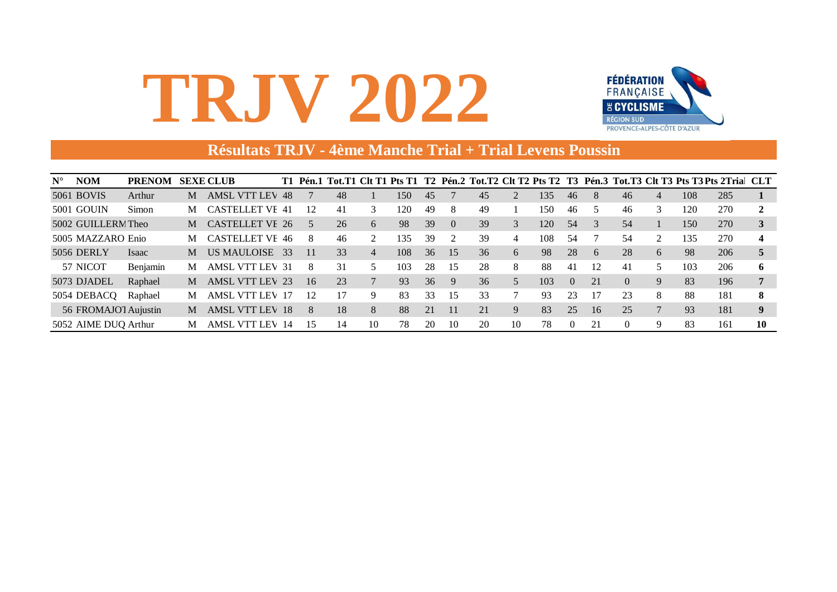

#### **Résultats TRJV - 4ème Manche Trial + Trial Levens Poussin**

| $N^{\circ}$ | <b>NOM</b>           | <b>PRENOM</b> |   | <b>SEXE CLUB</b>       | T1  |                | Pén.1 Tot.T1 Clt T1 Pts T1 |                |     |    |          |    |    |     |          |    |          |                |     | T2 Pén.2 Tot.T2 Clt T2 Pts T2 T3 Pén.3 Tot.T3 Clt T3 Pts T3 Pts 2Trial CLT |    |
|-------------|----------------------|---------------|---|------------------------|-----|----------------|----------------------------|----------------|-----|----|----------|----|----|-----|----------|----|----------|----------------|-----|----------------------------------------------------------------------------|----|
|             | 5061 BOVIS           | Arthur        | M | <b>AMSL VTT LEV 48</b> |     |                | 48                         |                | 150 | 45 |          | 45 |    | 135 | 46       | 8  | 46       | 4              | 108 | 285                                                                        |    |
|             | 5001 GOUIN           | Simon         | M | <b>CASTELLET VE 41</b> |     | 12             | 41                         | 3              | 120 | 49 | 8        | 49 |    | 50  | 46       |    | 46       | 3              | 120 | 270                                                                        |    |
|             | 5002 GUILLERM Theo   |               | M | <b>CASTELLET VE 26</b> |     |                | 26                         | 6              | 98  | 39 | $\Omega$ | 39 | 3  | 120 | 54       |    | 54       |                | 150 | 270                                                                        |    |
|             | 5005 MAZZARO Enio    |               | М | <b>CASTELLET VF 46</b> |     |                | 46                         |                | 135 | 39 |          | 39 | 4  | 108 | 54       |    | 54       | $\mathfrak{D}$ | 135 | 270                                                                        |    |
|             | <b>5056 DERLY</b>    | <b>Isaac</b>  | M | US MAULOISE            | -33 |                | 33                         | $\overline{4}$ | 108 | 36 | 15       | 36 | 6  | 98  | 28       | 6  | 28       | 6              | 98  | 206                                                                        |    |
|             | 57 NICOT             | Benjamin      | M | <b>AMSL VTT LEV 31</b> |     | 8              | 31                         |                | 103 | 28 | 15       | 28 | 8  | 88  | -41      | 12 | 41       |                | 103 | 206                                                                        |    |
|             | 5073 DJADEL          | Raphael       | M | <b>AMSL VTT LEV 23</b> |     | 16             | 23                         |                | 93  | 36 | 9        | 36 | 5  | 103 | $\Omega$ | 21 | $\Omega$ | 9              | 83  | 196                                                                        |    |
|             | 5054 DEBACQ          | Raphael       | M | <b>AMSL VTT LEV 17</b> |     | $\mathfrak{D}$ | 17                         | 9              | 83  | 33 | 15       | 33 |    | 93  | 23       | 17 | 23       | 8              | 88  | 181                                                                        | 8  |
|             | 56 FROMAJOT Aujustin |               | M | <b>AMSL VTT LEV 18</b> |     | 8              | 18                         | 8              | 88  | 21 |          | 21 | 9  | 83  | 25       | 16 | 25       |                | 93  | 181                                                                        | 9  |
|             | 5052 AIME DUQ Arthur |               | M | AMSL VTT LEV 14        |     |                | 14                         | 10             | 78  | 20 | 10       | 20 | 10 | 78  | $\theta$ | 21 |          | 9              | 83  | 161                                                                        | 10 |